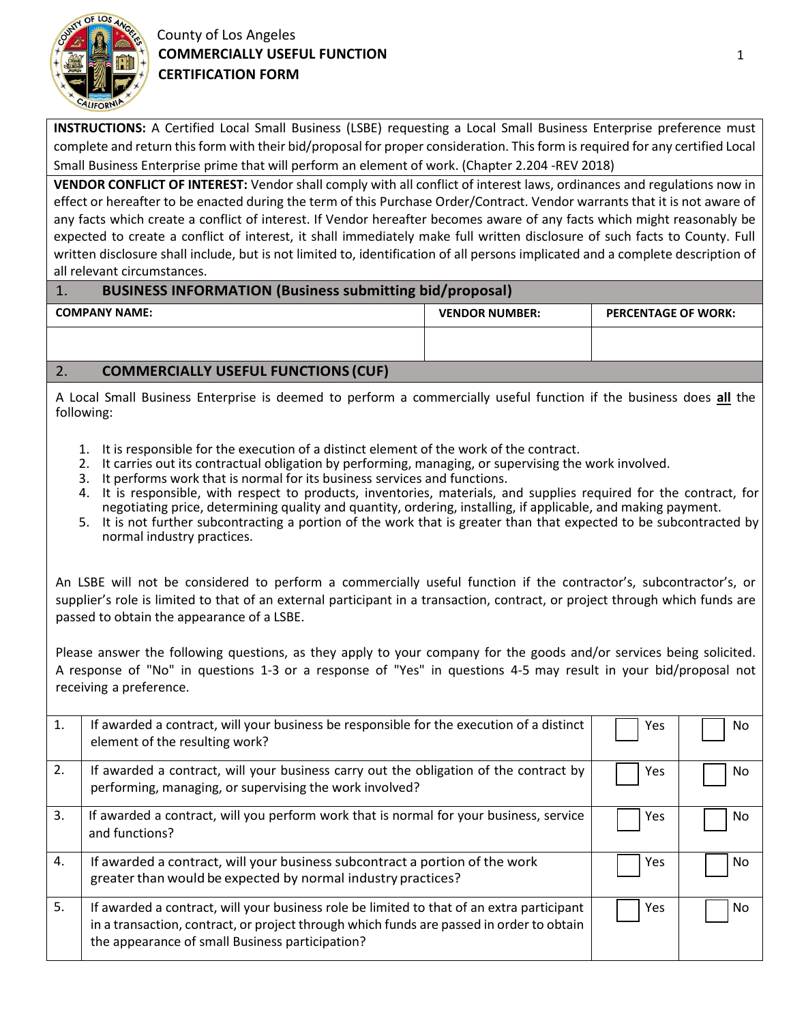

## County of Los Angeles **COMMERCIALLY USEFUL FUNCTION CERTIFICATION FORM**

**INSTRUCTIONS:** A Certified Local Small Business (LSBE) requesting a Local Small Business Enterprise preference must complete and return this form with their bid/proposal for proper consideration. This form is required for any certified Local Small Business Enterprise prime that will perform an element of work. (Chapter 2.204 -REV 2018)

**VENDOR CONFLICT OF INTEREST:** Vendor shall comply with all conflict of interest laws, ordinances and regulations now in effect or hereafter to be enacted during the term of this Purchase Order/Contract. Vendor warrants that it is not aware of any facts which create a conflict of interest. If Vendor hereafter becomes aware of any facts which might reasonably be expected to create a conflict of interest, it shall immediately make full written disclosure of such facts to County. Full written disclosure shall include, but is not limited to, identification of all persons implicated and a complete description of all relevant circumstances.

## 1. **BUSINESS INFORMATION (Business submitting bid/proposal)**

| <b>COMPANY NAME:</b>                                                    | <b>VENDOR NUMBER:</b> | <b>PERCENTAGE OF WORK:</b> |  |  |
|-------------------------------------------------------------------------|-----------------------|----------------------------|--|--|
|                                                                         |                       |                            |  |  |
| CONSISTENTIALLY LICEFILL FUNICTIONIC (CLIF)<br>$\overline{\phantom{a}}$ |                       |                            |  |  |

## 2. **COMMERCIALLY USEFUL FUNCTIONS (CUF)**

A Local Small Business Enterprise is deemed to perform a commercially useful function if the business does **all** the following:

- 1. It is responsible for the execution of a distinct element of the work of the contract.
- 2. It carries out its contractual obligation by performing, managing, or supervising the work involved.
- 3. It performs work that is normal for its business services and functions.
- 4. It is responsible, with respect to products, inventories, materials, and supplies required for the contract, for negotiating price, determining quality and quantity, ordering, installing, if applicable, and making payment.
- 5. It is not further subcontracting a portion of the work that is greater than that expected to be subcontracted by normal industry practices.

An LSBE will not be considered to perform a commercially useful function if the contractor's, subcontractor's, or supplier's role is limited to that of an external participant in a transaction, contract, or project through which funds are passed to obtain the appearance of a LSBE.

Please answer the following questions, as they apply to your company for the goods and/or services being solicited. A response of "No" in questions 1-3 or a response of "Yes" in questions 4-5 may result in your bid/proposal not receiving a preference.

| 1. | If awarded a contract, will your business be responsible for the execution of a distinct<br>element of the resulting work?                                                                                                               | Yes | No. |
|----|------------------------------------------------------------------------------------------------------------------------------------------------------------------------------------------------------------------------------------------|-----|-----|
| 2. | If awarded a contract, will your business carry out the obligation of the contract by<br>performing, managing, or supervising the work involved?                                                                                         | Yes | No. |
| 3. | If awarded a contract, will you perform work that is normal for your business, service<br>and functions?                                                                                                                                 | Yes | No. |
| 4. | If awarded a contract, will your business subcontract a portion of the work<br>greater than would be expected by normal industry practices?                                                                                              | Yes | No. |
| 5. | If awarded a contract, will your business role be limited to that of an extra participant<br>in a transaction, contract, or project through which funds are passed in order to obtain<br>the appearance of small Business participation? | Yes | No. |